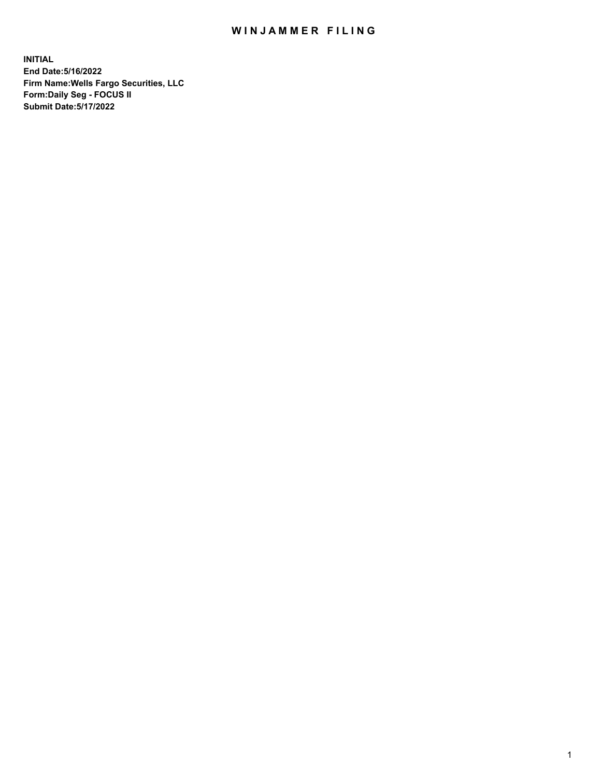## WIN JAMMER FILING

**INITIAL End Date:5/16/2022 Firm Name:Wells Fargo Securities, LLC Form:Daily Seg - FOCUS II Submit Date:5/17/2022**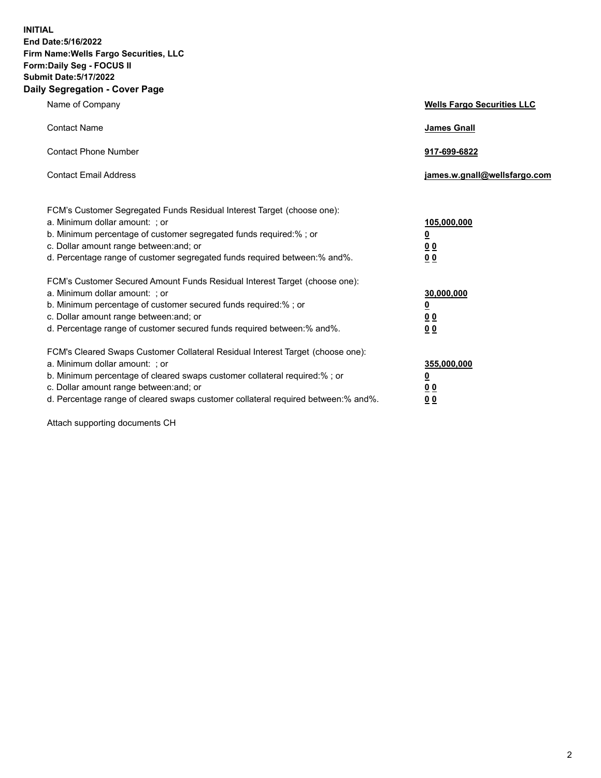**INITIAL End Date:5/16/2022 Firm Name:Wells Fargo Securities, LLC Form:Daily Seg - FOCUS II Submit Date:5/17/2022 Daily Segregation - Cover Page**

| Name of Company                                                                                                                                                                                                                                                                                                                | <b>Wells Fargo Securities LLC</b>                          |
|--------------------------------------------------------------------------------------------------------------------------------------------------------------------------------------------------------------------------------------------------------------------------------------------------------------------------------|------------------------------------------------------------|
| <b>Contact Name</b>                                                                                                                                                                                                                                                                                                            | <b>James Gnall</b>                                         |
| <b>Contact Phone Number</b>                                                                                                                                                                                                                                                                                                    | 917-699-6822                                               |
| <b>Contact Email Address</b>                                                                                                                                                                                                                                                                                                   | james.w.gnall@wellsfargo.com                               |
| FCM's Customer Segregated Funds Residual Interest Target (choose one):<br>a. Minimum dollar amount: ; or<br>b. Minimum percentage of customer segregated funds required:% ; or<br>c. Dollar amount range between: and; or<br>d. Percentage range of customer segregated funds required between:% and%.                         | 105,000,000<br><u>0</u><br>0 <sub>0</sub><br>00            |
| FCM's Customer Secured Amount Funds Residual Interest Target (choose one):<br>a. Minimum dollar amount: ; or<br>b. Minimum percentage of customer secured funds required:%; or<br>c. Dollar amount range between: and; or<br>d. Percentage range of customer secured funds required between:% and%.                            | 30,000,000<br><u>0</u><br>0 <sub>0</sub><br>0 <sub>0</sub> |
| FCM's Cleared Swaps Customer Collateral Residual Interest Target (choose one):<br>a. Minimum dollar amount: ; or<br>b. Minimum percentage of cleared swaps customer collateral required:% ; or<br>c. Dollar amount range between: and; or<br>d. Percentage range of cleared swaps customer collateral required between:% and%. | 355,000,000<br><u>0</u><br>00<br>00                        |

Attach supporting documents CH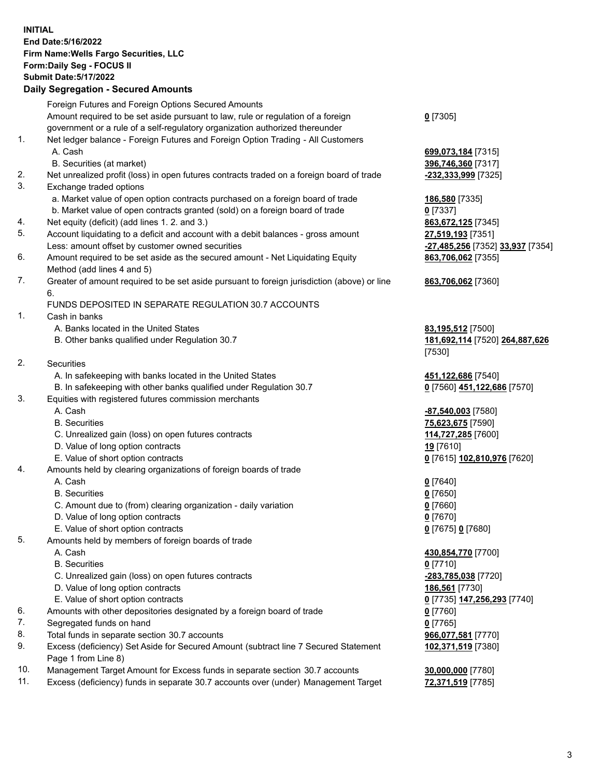**INITIAL End Date:5/16/2022 Firm Name:Wells Fargo Securities, LLC Form:Daily Seg - FOCUS II Submit Date:5/17/2022 Daily Segregation - Secured Amounts**

Foreign Futures and Foreign Options Secured Amounts Amount required to be set aside pursuant to law, rule or regulation of a foreign government or a rule of a self-regulatory organization authorized thereunder **0** [7305] 1. Net ledger balance - Foreign Futures and Foreign Option Trading - All Customers A. Cash **699,073,184** [7315] B. Securities (at market) **396,746,360** [7317] 2. Net unrealized profit (loss) in open futures contracts traded on a foreign board of trade **-232,333,999** [7325] 3. Exchange traded options a. Market value of open option contracts purchased on a foreign board of trade **186,580** [7335] b. Market value of open contracts granted (sold) on a foreign board of trade **0** [7337] 4. Net equity (deficit) (add lines 1. 2. and 3.) **863,672,125** [7345] 5. Account liquidating to a deficit and account with a debit balances - gross amount **27,519,193** [7351] Less: amount offset by customer owned securities **-27,485,256** [7352] **33,937** [7354] 6. Amount required to be set aside as the secured amount - Net Liquidating Equity Method (add lines 4 and 5) 7. Greater of amount required to be set aside pursuant to foreign jurisdiction (above) or line 6. FUNDS DEPOSITED IN SEPARATE REGULATION 30.7 ACCOUNTS 1. Cash in banks A. Banks located in the United States **83,195,512** [7500] B. Other banks qualified under Regulation 30.7 **181,692,114** [7520] **264,887,626** [7530] 2. Securities A. In safekeeping with banks located in the United States **451,122,686** [7540] B. In safekeeping with other banks qualified under Regulation 30.7 **0** [7560] **451,122,686** [7570] 3. Equities with registered futures commission merchants A. Cash **-87,540,003** [7580] B. Securities **75,623,675** [7590] C. Unrealized gain (loss) on open futures contracts **114,727,285** [7600] D. Value of long option contracts **19** [7610] E. Value of short option contracts **0** [7615] **102,810,976** [7620] 4. Amounts held by clearing organizations of foreign boards of trade A. Cash **0** [7640] B. Securities **0** [7650] C. Amount due to (from) clearing organization - daily variation **0** [7660] D. Value of long option contracts **0** [7670] E. Value of short option contracts **0** [7675] **0** [7680] 5. Amounts held by members of foreign boards of trade A. Cash **430,854,770** [7700] B. Securities **0** [7710] C. Unrealized gain (loss) on open futures contracts **-283,785,038** [7720] D. Value of long option contracts **186,561** [7730]

- E. Value of short option contracts **0** [7735] **147,256,293** [7740]
- 6. Amounts with other depositories designated by a foreign board of trade **0** [7760]
- 7. Segregated funds on hand **0** [7765]
- 8. Total funds in separate section 30.7 accounts **966,077,581** [7770]
- 9. Excess (deficiency) Set Aside for Secured Amount (subtract line 7 Secured Statement Page 1 from Line 8)
- 10. Management Target Amount for Excess funds in separate section 30.7 accounts **30,000,000** [7780]
- 11. Excess (deficiency) funds in separate 30.7 accounts over (under) Management Target **72,371,519** [7785]

**863,706,062** [7355]

## **863,706,062** [7360]

**102,371,519** [7380]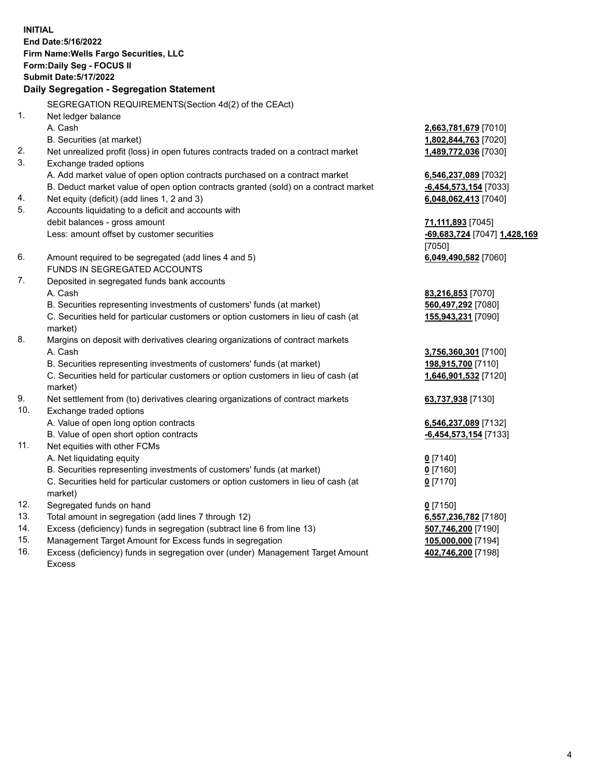**INITIAL End Date:5/16/2022 Firm Name:Wells Fargo Securities, LLC Form:Daily Seg - FOCUS II Submit Date:5/17/2022 Daily Segregation - Segregation Statement** SEGREGATION REQUIREMENTS(Section 4d(2) of the CEAct) 1. Net ledger balance A. Cash **2,663,781,679** [7010] B. Securities (at market) **1,802,844,763** [7020] 2. Net unrealized profit (loss) in open futures contracts traded on a contract market **1,489,772,036** [7030] 3. Exchange traded options A. Add market value of open option contracts purchased on a contract market **6,546,237,089** [7032] B. Deduct market value of open option contracts granted (sold) on a contract market **-6,454,573,154** [7033] 4. Net equity (deficit) (add lines 1, 2 and 3) **6,048,062,413** [7040] 5. Accounts liquidating to a deficit and accounts with debit balances - gross amount **71,111,893** [7045] Less: amount offset by customer securities **-69,683,724** [7047] **1,428,169** [7050] 6. Amount required to be segregated (add lines 4 and 5) **6,049,490,582** [7060] FUNDS IN SEGREGATED ACCOUNTS 7. Deposited in segregated funds bank accounts A. Cash **83,216,853** [7070]

B. Securities representing investments of customers' funds (at market) **560,497,292** [7080]

C. Securities held for particular customers or option customers in lieu of cash (at market)

8. Margins on deposit with derivatives clearing organizations of contract markets A. Cash **3,756,360,301** [7100]

B. Securities representing investments of customers' funds (at market)

C. Securities held for particular customers or option customers in lieu of cash (at market)

- 9. Net settlement from (to) derivatives clearing organizations of contract markets **63,737,938** [7130]
- 10. Exchange traded options A. Value of open long option contracts **6,546,237,089** [7132]
- 11. Net equities with other FCMs
	- - A. Net liquidating equity **0** [7140] B. Securities representing investments of customers' funds (at market) **0** [7160]
		- C. Securities held for particular customers or option customers in lieu of cash (at market)
- 12. Segregated funds on hand **0** [7150]
- 13. Total amount in segregation (add lines 7 through 12) **6,557,236,782** [7180]
- 14. Excess (deficiency) funds in segregation (subtract line 6 from line 13) **507,746,200** [7190]
- 15. Management Target Amount for Excess funds in segregation **105,000,000** [7194]
- 16. Excess (deficiency) funds in segregation over (under) Management Target Amount Excess

| <u>3,756,360,301</u> [7100] |
|-----------------------------|
| 198,915,700 [7110]          |
| <u>1,646,901,532</u> [7120] |

**155,943,231** [7090]

B. Value of open short option contracts **-6,454,573,154** [7133]

**0** [7170]

**402,746,200** [7198]